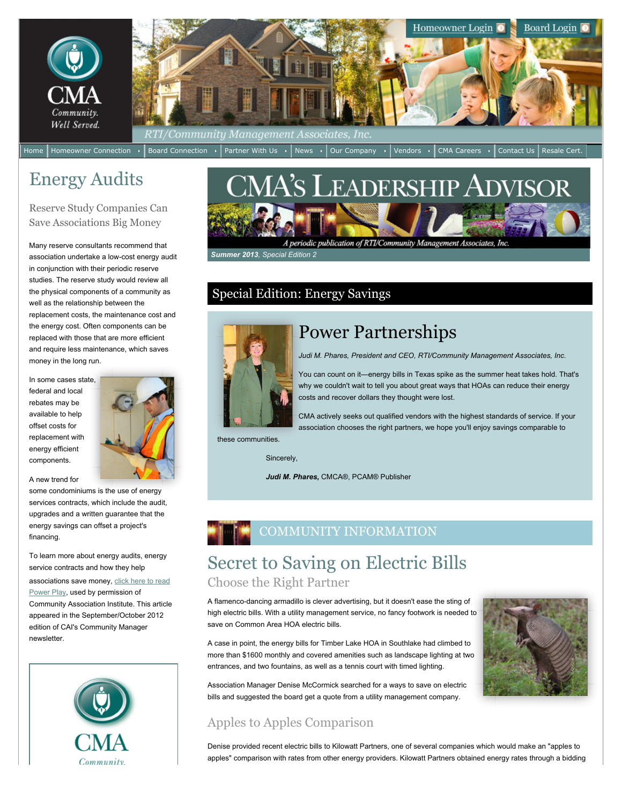

## Energy Audits

Reserve Study Companies Can Save Associations Big Money

Many reserve consultants recommend that association undertake a low-cost energy audit in conjunction with their periodic reserve studies. The reserve study would review all the physical components of a community as well as the relationship between the replacement costs, the maintenance cost and the energy cost. Often components can be replaced with those that are more efficient and require less maintenance, which saves money in the long run.

In some cases state, federal and local rebates may be available to help offset costs for replacement with energy efficient components.



A new trend for

some condominiums is the use of energy services contracts, which include the audit, upgrades and a written guarantee that the energy savings can offset a project's financing.

To learn more about energy audits, energy service contracts and how they help [associations save money, click here to read](https://www.cmamanagement.com/webdocs/Leadership%20Advisor/Power%20Play%20SeptOct%2012.pdf) Power Play, used by permission of Community Association Institute. This article appeared in the September/October 2012 edition of CAI's Community Manager newsletter.



# CMA's Leadership Advisor

A periodic publication of RTI/Community Management Associates, Inc.

 *Summer 2013, Special Edition 2*

## Special Edition: Energy Savings



## Power Partnerships

*Judi M. Phares, President and CEO, RTI/Community Management Associates, Inc.*

You can count on it—energy bills in Texas spike as the summer heat takes hold. That's why we couldn't wait to tell you about great ways that HOAs can reduce their energy costs and recover dollars they thought were lost.

CMA actively seeks out qualified vendors with the highest standards of service. If your association chooses the right partners, we hope you'll enjoy savings comparable to

these communities.

Sincerely,

*Judi M. Phares,* CMCA®, PCAM® Publisher

## COMMUNITY INFORMATION

## Secret to Saving on Electric Bills Choose the Right Partner

A flamenco-dancing armadillo is clever advertising, but it doesn't ease the sting of high electric bills. With a utility management service, no fancy footwork is needed to save on Common Area HOA electric bills.

A case in point, the energy bills for Timber Lake HOA in Southlake had climbed to more than \$1600 monthly and covered amenities such as landscape lighting at two entrances, and two fountains, as well as a tennis court with timed lighting.

Association Manager Denise McCormick searched for a ways to save on electric bills and suggested the board get a quote from a utility management company.

### Apples to Apples Comparison



Denise provided recent electric bills to Kilowatt Partners, one of several companies which would make an "apples to apples" comparison with rates from other energy providers. Kilowatt Partners obtained energy rates through a bidding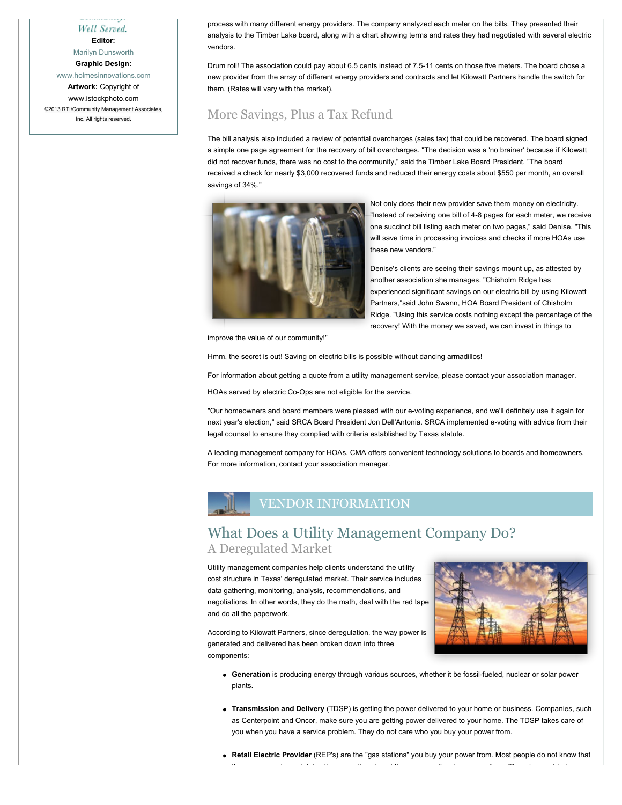Well Served.

**Editor:**

[Marilyn Dunsworth](mailto:EditorLeadershipAdvisor@cmamanagement.com) **Graphic Design:**

[www.holmesinnovations.com](http://www.holmesinnovations.com/)

**Artwork:** Copyright of www.istockphoto.com ©2013 RTI/Community Management Associates, Inc. All rights reserved.

process with many different energy providers. The company analyzed each meter on the bills. They presented their analysis to the Timber Lake board, along with a chart showing terms and rates they had negotiated with several electric vendors.

Drum roll! The association could pay about 6.5 cents instead of 7.5-11 cents on those five meters. The board chose a new provider from the array of different energy providers and contracts and let Kilowatt Partners handle the switch for them. (Rates will vary with the market).

#### More Savings, Plus a Tax Refund

The bill analysis also included a review of potential overcharges (sales tax) that could be recovered. The board signed a simple one page agreement for the recovery of bill overcharges. "The decision was a 'no brainer' because if Kilowatt did not recover funds, there was no cost to the community," said the Timber Lake Board President. "The board received a check for nearly \$3,000 recovered funds and reduced their energy costs about \$550 per month, an overall savings of 34%."



Not only does their new provider save them money on electricity. "Instead of receiving one bill of 4-8 pages for each meter, we receive one succinct bill listing each meter on two pages," said Denise. "This will save time in processing invoices and checks if more HOAs use these new vendors."

Denise's clients are seeing their savings mount up, as attested by another association she manages. "Chisholm Ridge has experienced significant savings on our electric bill by using Kilowatt Partners,"said John Swann, HOA Board President of Chisholm Ridge. "Using this service costs nothing except the percentage of the recovery! With the money we saved, we can invest in things to

improve the value of our community!"

Hmm, the secret is out! Saving on electric bills is possible without dancing armadillos!

For information about getting a quote from a utility management service, please contact your association manager.

HOAs served by electric Co-Ops are not eligible for the service.

"Our homeowners and board members were pleased with our e-voting experience, and we'll definitely use it again for next year's election," said SRCA Board President Jon Dell'Antonia. SRCA implemented e-voting with advice from their legal counsel to ensure they complied with criteria established by Texas statute.

A leading management company for HOAs, CMA offers convenient technology solutions to boards and homeowners. For more information, contact your association manager.



#### What Does a Utility Management Company Do? A Deregulated Market

Utility management companies help clients understand the utility cost structure in Texas' deregulated market. Their service includes data gathering, monitoring, analysis, recommendations, and negotiations. In other words, they do the math, deal with the red tape and do all the paperwork.



According to Kilowatt Partners, since deregulation, the way power is generated and delivered has been broken down into three components:

- **Generation** is producing energy through various sources, whether it be fossil-fueled, nuclear or solar power plants.
- **Transmission and Delivery** (TDSP) is getting the power delivered to your home or business. Companies, such as Centerpoint and Oncor, make sure you are getting power delivered to your home. The TDSP takes care of you when you have a service problem. They do not care who you buy your power from.
- **Retail Electric Provider** (REP's) are the "gas stations" you buy your power from. Most people do not know that the company who maintains the power lines is not the company they buy power from. There is no added